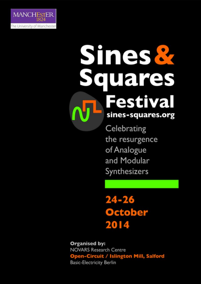

# Sines & Squares Festival sines-squares.org

Celebrating the resurgence of Analogue and Modular Synthesizers

 $24 - 26$ October 2014

**Organised by: NOVARS Research Centre Open-Circuit / Islington Mill, Salford Basic-Electricity Berlin**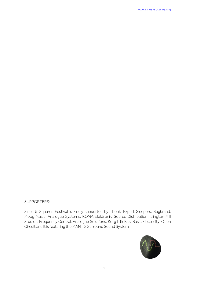SUPPORTERS:

Sines & Squares Festival is kindly supported by Thonk, Expert Sleepers, Bugbrand, Moog Music, Analogue Systems, KOMA Elektronik, Source Distribution, Islington Mill Studios, Frequency Central, Analogue Solutions, Korg littleBits, Basic Electricity, Open Circuit and it is featuring the MANTIS Surround Sound System

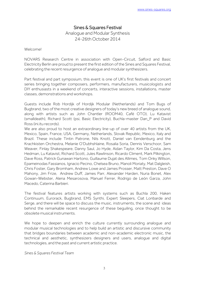## Sines & Squares Festival

Analogue and Modular Synthesis 24-26th October 2014

Welcome!

NOVARS Research Centre in association with Open-Circuit, Salford and Basic Electricity Berlin are proud to present the first edition of the Sines and Squares Festival, celebrating the recent resurgence of analogue and modular synthesizers.

Part festival and part symposium, this event is one of UK's first festivals and concert series bringing together composers, performers, manufacturers, musicologists and DIY enthusiasts in a weekend of concerts, interactive sessions, installations, master classes, demonstrations and workshops.

Guests include Rob Hordijk of Hordijk Modular (Netherlands) and Tom Bugs of Bugbrand, two of the most creative designers of today's new breed of analogue sound, along with artists such as John Chantler (ROOM40, Café OTO), Lu Katavist (smalldeath), Richard Scott (psi, Basic Electricity), Buchla-master Dan\_P and David Ross (ini.itu records).

We are also proud to host an extraordinary line-up of over 40 artists from the UK, Mexico, Spain, France, USA, Germany, Netherlands, Slovak Republic, Mexico, Italy and Brazil. These include Tintin Patrone, Nils Knott, Daniel van Eendenburg and the Krachkisten Orchestra, Melanie O'Dubhshlaine, Rosalia Soria, Dennis Verschoor, Sam Weaver, Finlay Shakespeare, Danny Saul, Jo Hyde, Aidan Taylor, Kim Da Costa, Jens Hedman, Lu Katavist, Richard Scott, Jules Rawlinson, Ricardo Climent, Mark Pilkington, Dave Ross, Patrick Gunawan Hartono, Guillaume Dujat des Allimes, Tom Onky Willson, Epameinodas Fassianos, Ignacio Pecino, Chelsea Bruno, Manoli Moriaty, Mat Dalgleish, Chris Foster, Gary Bromham, Andrew Lowe and James Prosser, Matt Preston, Dave O Mahony, Jim Frize, Andrew Duff, James Parr, Alexander Harden, Nuria Bonet, Alex Gowan-Webster, Alena Mesarosova, Manuel Ferrer, Rodrigo de León Garza, John Macedo, Caterina Barbieri.

The festival features artists working with systems such as Buchla 200, Haken Continuum, Eurorack, Bugbrand, EMS Synthi, Expert Sleepers, Ciat Lonbarde and Serge, and there will be space to discuss the music, instruments, the scene and ideas behind the remarkable recent resurgence of these beguiling, once thought to be obsolete musical instruments.

We hope to deepen and enrich the culture currently surrounding analogue and modular musical technologies and to help build an artistic and discursive community that bridges boundaries between academic and non-academic electronic music, the technical and aesthetic, synthesizers designers and users, analogue and digital technologies, and the past and current artistic practice.

*Sines & Squares Festival Team*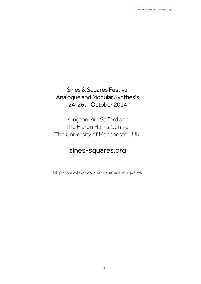## Sines & Squares Festival Analogue and Modular Synthesis 24-26th October 2014

Islington Mill, Salford and The Martin Harris Centre, The University of Manchester, UK.

## sines-squares.org

http://www.facebook.com/SinesandSquares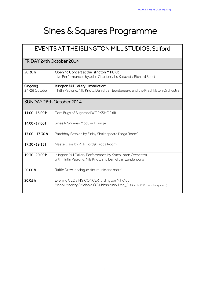## Sines & Squares Programme

| <b>EVENTS AT THE ISLINGTON MILL STUDIOS, Salford</b> |                                                                                                                           |  |
|------------------------------------------------------|---------------------------------------------------------------------------------------------------------------------------|--|
| FRIDAY 24th October 2014                             |                                                                                                                           |  |
| 20:30h                                               | Opening Concert at the Islington Mill Club<br>Live Performances by John Chantler / Lu Katavist / Richard Scott            |  |
| Ongoing<br>24-26 October                             | Islington Mill Gallery - installation:<br>Tintin Patrone, Nils Knott, Daniel van Eendenburg and the Krachkisten Orchestra |  |
|                                                      | SUNDAY 26th October 2014                                                                                                  |  |
| 11:00 - 15:00 h                                      | Tom Bugs of Bugbrand WORKSHOP (II)                                                                                        |  |
| 14:00 - 17:00 h                                      | Sines & Squares Modular Lounge                                                                                            |  |
| 17.00 - 17.30 h                                      | Patchbay Session by Finlay Shakespeare (Yoga Room)                                                                        |  |
| 17:30 - 19:15 h                                      | Masterclass by Rob Hordijk (Yoga Room)                                                                                    |  |
| 19.30 - 20:00 h                                      | Islington Mill Gallery Performance by Krachkisten Orchestra<br>with Tintin Patrone, Nils Knott and Daniel van Eendenburg  |  |
| 20.00h                                               | Raffle Draw (analogue kits, music and more) -                                                                             |  |
| 20.05h                                               | Evening CLOSING CONCERT, Islington Mill Club<br>Manoli Moriaty / Melanie O'Dubhshlaine/Dan_P. (Buchla 200 modular system) |  |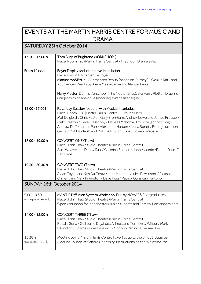## EVENTS AT THE MARTIN HARRIS CENTRE FOR MUSIC AND DRAMA

## SATURDAY 25th October 2014

| 13.30 - 17.00 h                      | Tom Bugs of Bugbrand WORKSHOP (I)<br>Place: Room F20 (Martin Harris Centre) - First floor, Drama side.                                                                                                                                                                                                                                                                                                              |
|--------------------------------------|---------------------------------------------------------------------------------------------------------------------------------------------------------------------------------------------------------------------------------------------------------------------------------------------------------------------------------------------------------------------------------------------------------------------|
| From 12 noon                         | Foyer Display and Interactive Installation<br>Place: Martin Harris Centre Foyer<br>Manusamo&Bzika - Augmented Reality (based on 'Putney') - Oculus Rift2 and<br>Augmented Reality by Alena Mesarosova and Manuel Ferrer.<br>Harry Plotter: Dennis Verschoor (The Netherlands), aka Harry Plotter: Drawing<br>images with an analogue (modular) synthesizer signal.                                                  |
| 12.00 - 17.00 h                      | Patchbay Session (papers) with Musical Interludes<br>Place: Room G16 (Martin Harris Centre) - Ground Floor<br>Mat Dalgleish, Chris Foster, Gary Bromham, Andrew Lowe and James Prosser /<br>Matt Preston / Dave O Mahony / Dave O Mahony/ Jim Frize (sonodrome) /<br>Andrew Duff / James Parr / Alexander Harden / Nuria Bonet / Rodrigo de León<br>Garza / Mat Dalgleish and Matt Bellingham / Alex Gowan-Webster. |
| 18.00 - 19.00 h                      | CONCERT ONE (Thaw)<br>Place: John Thaw Studio Theatre (Martin Harris Centre)<br>Sam Weaver and Danny Saul / Caterina Barbieri / John Macedo / Robert Ratcliffe<br>/ Jo Hyde.                                                                                                                                                                                                                                        |
| 19.30 - 20.40 h                      | CONCERT TWO (Thaw)<br>Place: John Thaw Studio Theatre (Martin Harris Centre)<br>Aidan Taylor and Kim Da Costa / Jens Hedman / Jules Rawlinson / Ricardo<br>Climent and Mark Pilkington / Dave Ross/ Patrick Gunawan Hartono.                                                                                                                                                                                        |
| SUNDAY 26th October 2014             |                                                                                                                                                                                                                                                                                                                                                                                                                     |
| $9.00 - 10.30$<br>(non-public event) | MANTIS Diffusion System Workshop. Run by NOVARS Postgraduates<br>Place: John Thaw Studio Theatre (Martin Harris Centre)<br>Open Workshop for Manchester Music Students and Festival Participants only.                                                                                                                                                                                                              |
| 14.00 - 15.00 h                      | <b>CONCERT THREE (Thaw)</b><br>Place: John Thaw Studio Theatre (Martin Harris Centre)<br>Rosalia Soria / Guillaume Dujat des Allimes and Tom Onky Willson/ Mark<br>Pilkington / Epameinodas Fassianos / Ignacio Pecino/ Chelsea Bruno.                                                                                                                                                                              |
| 15.30h<br>(participants only)        | Meeting point (Martin Harris Centre Foyer) to go to the Sines & Squares<br>Modular Lounge at Salford University. Instructions on the Welcome Pack.                                                                                                                                                                                                                                                                  |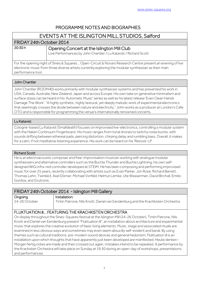#### PROGRAMME NOTES AND BIOGRAPHIES l

## EVENTS AT THE ISLINGTON MILL STUDIOS, Salford

#### FRIDAY 24th October 2014

#### Opening Concert at the Islington Mill Club

Live Performances by John Chantler / Lu Katavist / Richard Scott

For the opening night of Sines & Squares… Open-Circuit & Novars Research Centre present an evening of live electronic music from three diverse artists currently exploring the modular synthesiser as their main performance tool.

#### John Chantler

John Chantler (ROOM40) works primarily with modular synthesizer systems and has presented his work in USA, Canada, Australia, New Zealand, Japan and across Europe. His own take on generative minimalism and surface stasis can be heard in his 'Automatic Music' series as well as his latest release 'Even Clean Hands Damage The Work'. "A highly synthetic, highly textural, yet deeply melodic work of experimental electronics that seemingly crosses the divide between nature and electricity." John works as a producer at London's Cafe OTO and is responsible for programming the venue's internationally renowned concerts.

#### Lu Katavist

Cologne-based Lu Katavist (Smalldeath) focuses on improvised live-electronics, controlling a modular system with the Haken Continuum Fingerboard. His music ranges from tonal drones to twitchy noise bursts, with sounds drifting between ethereal pads, piercing distortion, chirping delay and rumbling bass. Overall, it makes for a calm, if not meditative listening experience. His work can be heard on his 'Retoxis' LP

#### Richard Scott

He is an electroacoustic composer and free-improvisation musician working with analogue modular synthesizers and alternative controllers such as the Buchla Thunder and Buchla Lightning, his own selfdesigned WiGi infra-red controller developed at STEIM. He has been composing and performing improvised music for over 25 years, recently collaborating with artists such as Evan Parker, Jon Rose, Richard Barrett, Thomas Lehn, Twinkle3, Axel Dörner, Michael Vorfeld, Helmut Lemke, Ute Wasserman, David Birchall, Emilio Gordoa, and Grutronic.

#### FRIDAY 24th October 2014 - Islington Mill Gallery

| <b>Ongoing</b> | Installation:                                                                   |  |
|----------------|---------------------------------------------------------------------------------|--|
| 24-26 October  | Tintin Patrone, Nils Knott, Daniel van Eendenburg and the Krachkisten Orchestra |  |

#### FLUKTUATION 8… FEATURING THE KRACHKISTEN ORCHESTRA

On display throughout the Sines-Squares festival at the Islington Mill (24-26 October), Tintin Patrone, Nils Knott and Daniel van Eendenburg present "Fluktuation 8", an installation about architecture and experimental music that explores the creative evolution of basic living elements. Music, stage and associated rituals are examined in less obvious ways and sometimes may even seem absurdly self-evident and banal. By using themes such as cultural traditions, pre-modern sound devices and general hedonism, Fluktuation 8 is an installation upon which thoughts that have apparently just been developed are manifested: Heute denken - Morgen fertig notes are made and then crossed out again, mistakes intend to be repeated. A performance by the Krackisten Orchestra will take place on Sunday at 19:30 during an open-day of workshops, presentations and performances.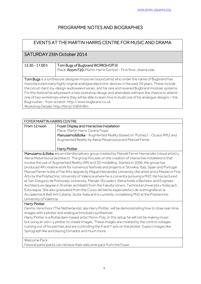## PROGRAMME NOTES AND BIOGRAPHIES

| EVENTS AT THE MARTIN HARRIS CENTRE FOR MUSIC AND DRAMA                                               |                                                                   |  |
|------------------------------------------------------------------------------------------------------|-------------------------------------------------------------------|--|
| SATURDAY 25th October 2014                                                                           |                                                                   |  |
|                                                                                                      |                                                                   |  |
| 13.30 - 17.00 h                                                                                      | Tom Bugs of Bugbrand WORKSHOP (I)                                 |  |
|                                                                                                      | Place: Room F20 (Martin Harris Centre) - First floor, drama side. |  |
|                                                                                                      |                                                                   |  |
| Tom Bugs is a synthesizer designer/musician/sound artist who under the name of Bugbrand has          |                                                                   |  |
| manufactured many highly original analogue electronic devices in the past 20 years. These include    |                                                                   |  |
| the circuit-bent-by-design audioweevil series, and his rare and revered Bugbrand modular systems.    |                                                                   |  |
| For this festival he will present a new workshop design and attendees will have the chance to attend |                                                                   |  |
| one of two workshops where they will be able to learn how to build one of his analoque designs - the |                                                                   |  |
| Bugcrusher - from scratch. http://www.bugbrand.co.uk                                                 |                                                                   |  |
| Workshop Details: http://bit.ly/1tW4VBm                                                              |                                                                   |  |

| <b>FOYER MARTIN HARRIS CENTRE</b>                                                                     |                                                                                                       |  |
|-------------------------------------------------------------------------------------------------------|-------------------------------------------------------------------------------------------------------|--|
| From 12 noon                                                                                          | Foyer Display and Interactive Installation                                                            |  |
|                                                                                                       | Place: Martin Harris Centre Foyer                                                                     |  |
|                                                                                                       | Manusamo&Bzika - Augmented Reality (based on 'Putney') - Oculus Rift2 and                             |  |
|                                                                                                       | Augmented Reality by Alena Mesarosova and Manuel Ferrer                                               |  |
|                                                                                                       |                                                                                                       |  |
|                                                                                                       | Harry Plotter                                                                                         |  |
| Manusamo & Bzika are an interdisciplinary group created by Manuel Ferrer Hernandéz (visual artist) y  |                                                                                                       |  |
| Alena Mesarosova (architect). The group focuses on the creation of interactive installations that     |                                                                                                       |  |
| involve the use of Augmented Reality (AR) and 3D modelling. Started in 2006, the group has            |                                                                                                       |  |
| produced AR creative work for numerous festivals and projects in Slovakia, Italy, Spain and Portugal. |                                                                                                       |  |
|                                                                                                       | Manuel Ferrer holds a Fine Arts degree by Miguel Hernández University (Alicante) and a Master in Fine |  |

Arts by the Polytechnic University of Valencia where he is currently pursuing a PhD. He has lectured at San Gregorio de Portoviejo University, Manabí. (Ecuador). Alena holds a Bachelor and Engineer-Architecture degree in (Inzinier architekt) from the Fakulta Umení, Technická Univerzita v Košiciach, Eslovaquia. She also graduated from the Curso del bienio especialistico de scenografia en la Accademia di Belli Arti Catania ,Sicilia-Italia and is currently completing PhD at the Polytechnic University of Valencia.

#### Harry Plotter

Dennis Verschoor (The Netherlands), aka Harry Plotter, will be demonstrating how to draw real-time images with a plotter and analogue (modular) synthesizer.

Harry Plotter is a Rotterdam-based artist Mono-Poly. In this setup he will not be making music but using an old x-y plotter to create images. These images are created by the control voltages coming out of his patches and are controlling the X and Y axis on the plotter. Expect images like Spirograph like and blazing tornados and much more.

Welcome Pack

Festival participants can retrieve their welcome pack from the Foyer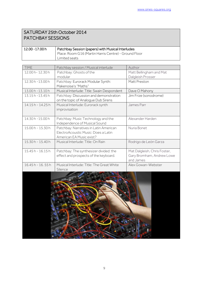## SATURDAY 25th October 2014 PATCHBAY SESSIONS

| 12.00 -17.00 h | Patchbay Session (papers) with Musical Interludes     |
|----------------|-------------------------------------------------------|
|                | Place: Room G16 (Martin Harris Centre) - Ground Floor |
|                | Limited seats                                         |

| <b>TIME</b>       | Patchbay session / Musical interlude                                                                      | Author                                 |
|-------------------|-----------------------------------------------------------------------------------------------------------|----------------------------------------|
| 12.00 h-12.30 h   | Patchbay: Ghosts of the                                                                                   | Matt Bellingham and Mat                |
|                   | modular                                                                                                   | Dalgleish Prosser                      |
| 12.30 h - 13.00 h | Patchbay: Eurorack Modular Synth:                                                                         | Matt Preston                           |
|                   | Makenoise's "Maths"                                                                                       |                                        |
| 13.00 h - 13.10 h | Musical Interlude: Title: Swain Despondent                                                                | Dave O Mahony                          |
| 13.15 h - 13.45 h | Patchbay: Discussion and demonstration<br>on the topic of Analogue Dub Sirens                             | Jim Frize (sonodrome)                  |
| 14.15 h - 14.25 h | Musical Interlude: Eurorack synth<br>improvisation                                                        | James Parr                             |
| 14.30 h - 15.00 h | Patchbay: Music Technology and the<br>Independence of Musical Sound                                       | Alexander Harden                       |
| 15.00h - 15.30h   | Patchbay: Narratives in Latin American<br>ElectroAcoustic Music: Does a Latin<br>American EA Music exist? | Nuria Bonet                            |
| 15.30h - 15.40h   | Musical Interlude: Title: On Rain                                                                         | Rodrigo de León Garza                  |
| 15.45h - 16.15h   | Patchbay: The synthesizer divided: the                                                                    | Mat Dalgleish, Chris Foster,           |
|                   | effect and prospects of the keyboard.                                                                     | Gary Bromham, Andrew Lowe<br>and James |
| 16.45 h - 16.55 h | Musical Interlude: Title: The Great White<br>Silence                                                      | Alex Gowan-Webster                     |
|                   |                                                                                                           |                                        |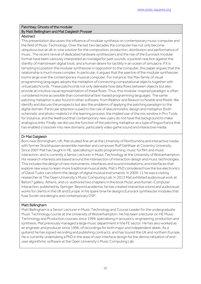#### Patchbay: Ghosts of the modular By Matt Bellingham and Mat Dalgleish Prosser

#### **Abstract**

This presentation discusses the influence of modular synthesis on contemporary music computer and the field of Music Technology. Over the last two decades the computer has not only become ubiquitous but an all-in-one solution for the composition, production, distribution and performance of music. The recent revival of dedicated hardware synthesizers and the rise of the Eurorack modular format have been variously interpreted as nostalgia for past sounds, a punkish reaction against the sterility of mainstream digital tools, and a human desire for tactility in an ocean of simulacra. If it is tempting to position the modular synthesizer in opposition to the computer, this paper argues that the relationship is much more complex. In particular, it argues that the spectre of the modular synthesizer looms large over the contemporary musical computer. For instance, the Max family of visual programming languages adopts the metaphor of connecting computational objects together with virtual patchcords. These patchcords not only delineate how data flows between objects but also provide an intuitive visual representation of these flows. Thus, this modular-inspired paradigm is often considered more accessible than conventional text-based programming languages. The same patching metaphor is also found in other software, from Reaktor and Reason to Noatikl and Mixtikl. We identify and discuss the prospects but also the problems of applying the patching paradigm to the digital domain. Particular attention is paid to the role of skeuomorphic design and metaphor (both schematic and photo-realistic) in the learning process; the implied use of the mix window in Pro Tools, for instance, and the likelihood that contemporary new users do not have the background to make analogous links. Finally, we discuss the function of the patching metaphor as a type of lingua franca that has enabled crossover into new domains, particularly video game sound and interactive media.

#### Dr Mat Dalgleish

Born near Birmingham, UK, Mat studied fine art at the University of Northumbria and interactive media with former Stockhausen ensemble member and composer Rolf Gehlhaar at Coventry University. Since 2007 Mat has taught in HE, specialising in audio programming, music for film and music interaction, and is currently a Senior Lecturer in Music Technology at the University of Wolverhampton. His research interests are based around the intersection of interaction design and music technologies. This includes the design of new instruments, interfaces and sound installations, and interfaces that explore new ways to learn more traditional musical skills. Mat's PhD considered how the live electronics of David Tudor can inform the design of digital musical instruments. In 2009-11 he was a visiting researcher at The Open University's Music Computing Lab. In 2013 Mat exhibited audiovisual work at Beton7 gallery, Athens, and co-authored two chapters in the book Music and Human-Computer Interaction, published by Springer. Beyond academia, he has created interactive sound and audiovisual works for clients in the UK and Europe. In his spare time he designs Eurorack synthesizer modules that fuse Soviet-era designs and contemporary DSP.

#### Matt Bellingham

Matt Bellingham is a Senior Lecturer in Music Technology and Course Leader for the undergraduate Music Technology course at the University of Wolverhampton. He has been a lecturer on HE Music Technology and Production courses since 1999, specialising in acoustics, engineering, production and synthesis. Mat previously managed a large music department in the FE sector. He has also worked as an engineer and producer since 1996, of recordings for both major and independent labels. As a guitarist he has signed recording and publishing contracts, and has toured the UK and northern Europe. He is currently undertaking a PhD in the area of user interface design for the democratisation of enduser algorithmic software at the Open University's Music Computing Lab.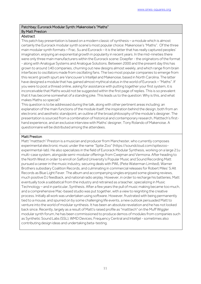#### Patchbay: Eurorack Modular Synth: Makenoise's "Maths" By Matt Preston

#### **Abstract**

This patch bay presentation is based on a modern classic of synthesis – a module which is almost certainly the Eurorack modular synth scene's most popular choice: Makenoise's "Maths". Of the three main modular synth formats – Frac, 5u and Eurorack – it is the latter that has really captured peoples' imagination, enjoying an exponential growth in popularity in recent years. In the mid-nineties there were only three main manufacturers within the Eurorack scene: Doepfer - the originators of the format - along with Analogue Systems and Analogue Solutions. Between 2000 and the present day this has grown to around 140 companies, churning out new designs almost weekly, and which range from brain interfaces to oscillators made from oscillating fans. The two most popular companies to emerge from this recent growth spurt are Vancouver's Intellijel and Makenoise, based in North Carolina. The latter have designed a module that has gained almost mythical status in the world of Eurorack – "Maths". If you were to post a thread online, asking for assistance with putting together your first system, it is inconceivable that Maths would not be suggested within the first page of replies. This is so prevalent that it has become somewhat of a standing joke. This leads us to the question: Why is this, and what makes Maths so special?

This question is to be addressed during the talk, along with other pertinent areas including: an explanation of the main functions of the module itself; the inspiration behind the design, both from an electronic and aesthetic standpoint; an outline of the broad philosophy of the module's designer. The presentation is sourced from a combination of historical and contemporary research, Matttech's firsthand experience, and an exclusive interview with Maths' designer, Tony Rolando of Makenoise. A questionnaire will be distributed among the attendees.

#### Matt Preston

Matt "matttech" Preston is a musician and producer from Manchester, who currently composes experimental electronic music under the name "Spite Zoo" (https://soundcloud.com/spitezooexperimental-lab). He also specializes in the field of Eurorack Modular Synthesis, working on a large 21u multi-case system, alongside semi-modular offerings from Cwejman and Vermona. After heading to the North West in order to enroll on Salford University's Popular Music and Sound Recording Matt pursued a career in the music industry, securing deals with PWL (Pete Waterman Limited), Warner Brothers subsidiary Coalition Records, and culminating in commercial releases for Robert Miles' S:Alt Records as Blue Light Fever. The album and accompanying singles enjoyed some glowing reviews, much positive DJ feedback, and national radio airplay. However, in order to recharge his batteries, Matt eventually took a sabbatical from the industry and retrained as a teacher, specializing in Music Technology – and in particular, Synthesis. After a few years the pull of music making became too much, and a comprehensive Mac-based studio was put together, with a view to reigniting the creative process. Initially all work was undertaken using software. However, frustrated with being permanently tied to a mouse, and spurred on by some challenging life events, a new outlook persuaded Matt to venture into the world of modular synthesis. It has been an absolute revelation and he has not looked back since. Recently, largely as a result of Matt's raised profile as "matttech" on the Muff Wiggler modular synth forum, he has been commissioned to produce demos of modules from companies such as Synthetic Sound Labs (SSL), WMD Devices, Frequency Central and Intellijel - sometimes also contributing design ideas and undertaking beta-testing.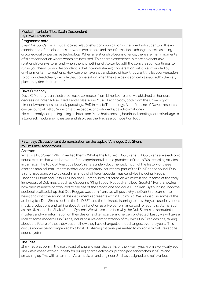#### Musical Interlude: Title: Swain Despondent By Dave O Mahony

#### Programme note

*Swain Despondent* is a critical look at relationship communication in the twenty-first century. It is an examination of the closeness between two people and the information exchange therein as being drowned-out by pervasive technology. When a relationship begins or ends, there are many moments of silent connection where words are not used. This shared experience is more poignant as a relationship draws to an end, when there is nothing left to say but still the conversation continues to run in your head. Swain Despondent is that internal (shared) conversation but it is surrounded by environmental interruptions. How can one have a clear picture of how they want the last conversation to go, or indeed clearly decode that conversation when they are being sonically assaulted by the very place they decided to meet?

#### Dave O Mahony

Dave O Mahony is an electronic music composer from Limerick, Ireland. He obtained an honours degrees in English & New Media and a Masters in Music Technology, both from the University of Limerick where he is currently pursuing a PhD in Music Technology. A brief outline of Dave's research can be found at: http://www.dmarc.ie/people/phd-students/david-o-mahoney He is currently composing using an Interaxon Muse brain sensing headband sending control voltage to a Eurorack modular synthesizer and also uses the iPad as a composition tool.

#### Patchbay: Discussion and demonstration on the topic of Analogue Dub Sirens by Jim Frize (sonodrome)

#### Abstract

What is a Dub Siren? Who invented them? What is the future of Dub Sirens?... Dub Sirens are electronic sound circuits that were born out of the experimental studio practices of the 1970s recording studios in Jamaica. The topic of Analogue Dub Sirens is under-documented, much of the history of these esoteric musical instruments is shrouded in mystery. An integral part of the Dub Reggae sound, Dub Sirens have gone on to be used in a range of different popular musical styles including; Ragga, Dancehall, Drum and Bass, Hip Hop and Dubstep. In this discussion we will talk about some of the early innovators of Dub music, such as Osbourne "King Tubby" Ruddock and Lee "Scratch" Perry, showing how their influence contributed to the rise of the standalone analogue Dub Siren. By touching upon the sociopolitical backdrop that Dub Reggae was born from, we will posit why the Dub Siren came into being and what the sound of this instrument represents within Dub music. We will discuss some of the archetypical Dub Sirens such as the NJD SE1 and the Lickshot, listening to how they are used in various music productions and talking about their function as a live performance tool for sound systems, such as the UK based Jah Shaka Sound System. We will also look into why the Dub Siren is so shrouded in mystery and why information on their design is often scarce and fiercely protected. Lastly we will take a look at some modern Dub Sirens, including a live demonstration of my own Dub Siren designs, talking about the future of these devices and how they have changed, or not changed, over the years. This discussion will be accompanied by a host of listening material presented to you on a miniature reggae sound system.

#### Jim Frize

Jim Frize was born in the north east of England near the banks of the River Tyne. From a very early age Jim was blessed with a curiosity for pulling apart electronics, putting jam sandwiches in VCRs and smashing up TVs with a hammer. As a musician and engineer Jim has designed and built various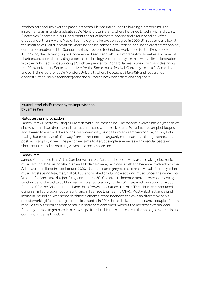synthesizers and kits over the past eight years. He was introduced to building electronic musical instruments as an undergraduate at De Montfort University, where he joined Dr John Richard's Dirty Electronics Ensemble in 2006 and learnt the art of hardware hacking and circuit bending. After graduating with a BA Hons Music, Technology and Innovation degree in 2009, Jim became a fellow at the Institute of Digital Innovation where he and his partner, Kat Pattison, set up the creative technology company Sonodrome Ltd. Sonodrome has provided technology workshops for the likes of SEAT, TOPPS Inc, the Thinking Digital Conference, Teen Tech, VISTA, Embrace Arts as well as a number of charities and councils providing access to technology. More recently Jim has worked in collaboration with the Dirty Electronics building a Synth Sequencer for Richard James (Aphex Twin) and designing the 20th anniversary Sónar synthesizer for the Sónar music festival. Currently Jim is a PhD candidate and part-time lecturer at De Montfort University where he teaches Max MSP and researches deconstruction, music technology and the blurry line between artists and engineers.

#### Musical Interlude: Eurorack synth improvisation by James Parr

#### Notes on the improvisation

James Parr will perform using a Eurorack synth/ drummachine. The system involves basic synthesis of sine waves and two drum sounds, a bass drum and woodblock sound. Materials are sampled, looped and layered to abstract the sounds in a organic way, using a Eurorack sampler module, grungy LoFi quality, but evocative of life, away from computers and arguably more natural, although somewhat post-apocalyptic, in feel. The performer aims to disrupt simple sine waves with irregular beats and short sound cells, like breaking waves on a rocky shore line.

#### James Parr

James Parr studied Fine Art at Camberwell and St Martins in London. He started making electronic music around 1998 using Max/Msp and a little hardware, i.e. digital synth and became involved with the Adaadat record label in east London 2000. Used the name greypetcat to make visuals for many other music artists using Max/Msp/Nato 0+55, and worked producing electronic music under the name 1ntr. Worked for Apple as a day job, fixing computers. 2010 started to become more interested in analogue synthesis and started to build a small modular eurorack synth. In 2014 released the album 'Corrupt Practices' for the Adaadat record label: http://www.adaadat.co.uk/1ntr/. This album was produced using a small eurorack modular synth and a Teenage Engineering OP-1. Mostly abstract and slightly industrial-sounding, with some rhythmic elements, it was intended to evoke an alternative to his robotic working life, more organic and less sterile. In 2014, he added a sequencer and a couple of drum modules to his modular synth to make it more self-contained, without the need for external gear. Recently started to get back into Max/Msp/Jitter, but his main interest is in the analogue synthesis and control of my small modular.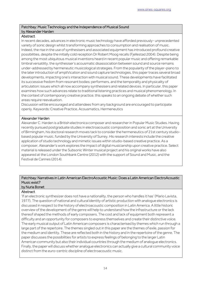#### Patchbay: Music Technology and the Independence of Musical Sound by Alexander Harden

#### **Abstract**

In recent decades, advances in electronic music technology have afforded previously- unprecedented variety of sonic design whilst transforming approaches to consumption and realisation of music. Indeed, the rise in the use of synthesisers and associated equipment has introduced profound creative possibilities, despite the initially cold reception Dr Robert Moog recalls (Fjellestad 2004). Despite being among the most ubiquitous musical inventions heard in recent popular music and offering remarkable timbral versatility, the synthesiser's acousmatic disassociation between sound and source remains under-addressed by hermeneutic musicological strategies. From the popularity of the player-piano to the later introduction of ampliVication and sound capture technologies, this paper traces several broad developments, impacting one's interaction with musical sound. These developments have facilitated its successive fredom from resonant bodies; performers, and the temporality and physicality of articulation: issues which all now accompany synthesisers and related devices. In particular, this paper examines how such advances relate to traditional listening practices and musical phenomenology. In the context of contemporary creative practice, this speaks to an ongoing debate of whether such areas require reevaluation.

Discussion will be encouraged and attendees from any background are encouraged to participate openly. Keywords: Creative Practice, Acousmatics, Hermeneutics

#### Alexander Harden

Alexander C. Harden is a British electronica composer and researcher in Popular Music Studies. Having recently pursued postgraduate studies in electroacoustic composition and sonic art at the University of Birmingham, his doctoral research moves tack to consider the hermeneutics of 21st century studiobased popular music, funded by the University of Surrey. His research interests include the creative application of studio technology and mimetic issues within studio-based creative practice. As a composer, Alexander's work explores the impact of digital musicianship upon creative practice. Select material is released under the Subsonic Winter musical project and his original works have also appeared at the London Southbank Centre (2012) with the support of Sound and Music, and the Festival de Cannes (2014).

#### Patchbay: Narratives in Latin American ElectroAcoustic Music: Does a Latin American ElectroAcoustic Music exist?

## by Nuria Bonet

#### Abstract

'If an electronic synthesizer does not have a nationality, the person who handles it has' (Mario Lavista, 1977). The question of national and cultural identity of artistic production with analogue electronics is discussed in respect to the history of electroacoustic composition in Latin America. A little historic overview of the development of the genre will help to understand how the infrastructure or the lack thereof shaped the methods of early composers. The cost and lack of equipment both represent a difficulty and an opportunity for composers to express themselves and create their distinctive voice. The early musical output of Latin American composers is characterised by themes which run through a large part of the repertoire. The themes singled out in this paper are the themes of exile, passion for the medium and identity. These are reflected both in the history and in the repertoire of the genre. The paper discusses the possibilities for artists to express feelings of belonging to the larger Latin American community but also their individual countries through the medium of analogue electronics. Finally, the paper will discuss whether analogue electronics can actually give a cultural community voice distinct from the euro-centric discipline of electroacoustic music.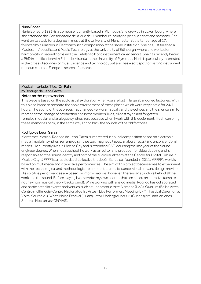#### Núria Bonet

Núria Bonet (b.1991) is a composer currently based in Plymouth. She grew up in Luxembourg, where she attended the Conservatoire de la Ville de Luxembourg, studying piano, clarinet and harmony. She went on to study for a degree in music at the University of Manchester at the tender age of 17, followed by a Masters in Electroacoustic composition at the same institution. She has just finished a Masters in Acoustics and Music Technology at the University of Edinburgh, where she worked on harmonicity in natural horns and the Catalan folkloric instrument called tenora. She has recently begun a PhD in sonification with Eduardo Miranda at the University of Plymouth. Núria is particularly interested in the cross-disciplines of music, science and technology but also has a soft spot for visiting instrument museums across Europe in search of tenoras.

#### Musical Interlude: Title: .On Rain by Rodrigo de León Garza

#### Notes on the improvisation

This piece is based on the audiovisual exploration when you are lost in large abandoned factories. With this piece I want to recreate the sonic environment of these places which were very hectic for 24/7 hours. The sound of these places has changed very dramatically and the echoes and the silence aim to represent the change of production and in the workers' lives, all destroyed and forgotten. I employ modular and analogue synthesizers because when I work with this equipment, I feel I can bring these memories back, in the same way I bring back the sounds of the old factories.

#### Rodrigo de León Garza

Monterrey, Mexico. Rodrigo de León Garza is interested in sound composition based on electronic media (modular synthesizer, analog synthesizer, magnetic tapes, analog effects) and unconventional means. He currently lives in Mexico City and is attending SAE, coursing the last year of the Sound engineer degree. When not at school, he work as an editor and producer for video dubbing and is responsible for the sound identity and part of the audiovisual team at the Center for Digital Culture in Mexico City. #FFFF is an audiovisual collective that León Garza co-founded in 2011. #FFFF's work is based on multimedia and interactive performances. The aim of this project because was to experiment with the technological and methodological elements that music, dance, visual arts and design provide. His solo live performances are based on improvisations, however, there is an structure behind all the work and the sound. Before playing live, he write my own scores, that are based on narrative (despite not having a musical theory background). While working with analog media, Rodrigo has collaborated and participated in events and venues such as: Laboratorio Arte Alameda (LAA), Quorum (Bellas Artes), Centro multimedia (Centro Nacional de las Artes), Live Performers Meeting (LPM), Festival Ceremonia, Volta, Source 2.0, White Noise Festival (Guanajuato), Underground006 (Guadalajara) and Visiones Sonoras Nocturnas (CMMAS).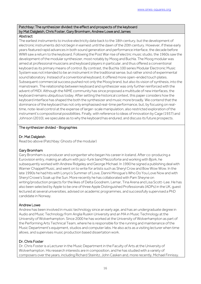#### Patchbay: The synthesizer divided: the effect and prospects of the keyboard by Mat Dalgleish, Chris Foster, Gary Bromham, Andrew Lowe and James

#### Abstract

The earliest instruments to involve electricity date back to the 18th century, but the development of electronic instruments did not begin in earnest until the dawn of the 20th century. However, if these early years featured rapid advances in both sound generation and performance interface, the decade before WWII saw a return to the keyboard. Following the Post War rise of electric music studio, the 1960s saw the development of the modular synthesizer, most notably by Moog and Buchla. The Moog modular was aimed at professional musicians and keyboard players in particular, and thus offered a conventional keyboard as its primary means of control. By contrast, the Buchla 100 series Modular Electronic Music System was not intended to be an instrument in the traditional sense, but rather a kind of experimental sound laboratory. Instead of a conventional keyboard, it offered more open-ended touch plates. Subsequent commercial success pushed not only the Moog brand, but also its vision of synthesis, into the mainstream. The relationship between keyboard and synthesizer was only further reinforced with the advent of MIDI. Although the NIME community has since proposed a multitude of new interfaces, the keyboard remains ubiquitous today. After setting the historical context, this paper considers how the keyboard interface has shaped the both the synthesizer and music more broadly. We contend that the dominance of the keyboard has not only emphasised real-time performance, but, by focusing on realtime, note-level control at the expense of larger-scale manipulation, also restricted exploration of the instrument's compositional possibilities. Finally, with reference to ideas of innovation by Cage (1937) and Johnson (2010), we speculate as to why the keyboard has endured, and discuss its future prospects.

#### The synthesizer divided - Biographies

#### Dr. Mat Dalgleish

Read bio above (Patchbay: Ghosts of the modular)

#### Gary Bromham

Gary Bromham is a producer and songwriter who began his career in Iceland. After co-producing a Eurovision entry, making an album with jazz-funk band Mezzoforte and working with Bjork, he subsequently worked with Andrew Ridgeley and George Michael. In 1990 he signed a publishing deal with Warner Chappell Music, and went on to write for artists such as Sheryl Crow and Bow Wow Wow. In the late 1990s he had hits with Lonyo's Summer of Love, Dannii Minogue's Who Do You Love Now and with Sheryl Crowe's Soak up the Sun. More recently he has collaborated with Pam Sheyne on writing/production projects for the likes of Delta Goodrem, Lemar, Tina Arena and Lisa Scott-Lee. He has also been selected by Apple to be one of three Apple Distinguished Professionals (ADPs) in the UK, guest lectured at several universities, advised on academic programmes, and successfully supervised a PhD candidate in Norway.

#### Andrew Lowe

Andrew has been involved in music technology since an early age, and has an undergraduate degree in Audio and Music Technology from Anglia Ruskin University and an MA in Music Technology at the University of Wolverhampton. Since 2000 he has worked at the University of Wolverhampton as part of the Performing Arts Technical Team, where he is responsible for the running and maintenance of the Music Department's equipment, studios and computer labs. He also acts as a visiting lecturer when time allows, and supervises music production based dissertation work.

#### Dr. Chris Foster

Dr. Chris Foster is a Lecturer in the Music Department in the Faculty of Arts at the University of Wolverhampton. His research interests are in composition, and he has studied with a variety of composers over the years, including Richard Steinitz, John Casken and, more recently, Michael Finnissy.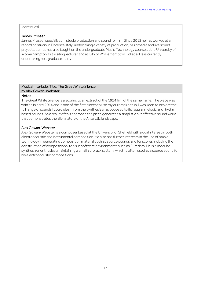#### (continues)

#### James Prosser

James Prosser specialises in studio production and sound for film. Since 2012 he has worked at a recording studio in Florence, Italy, undertaking a variety of production, multimedia and live sound projects. James has also taught on the undergraduate Music Technology course at the University of Wolverhampton as a visiting lecturer and at City of Wolverhampton College. He is currently undertaking postgraduate study.

#### Musical Interlude: Title: The Great White Silence by Alex Gowan-Webster

#### **Notes**

The Great White Silence is a scoring to an extract of the 1924 film of the same name. The piece was written in early 2014 and is one of the first pieces to use my eurorack setup. I was keen to explore the full range of sounds I could glean from the synthesizer as opposed to its regular melodic and rhythm based sounds. As a result of this approach the piece generates a simplistic but effective sound world that demonstrates the alien nature of the Antarctic landscape.

#### Alex Gowan-Webster

Alex Gowan-Webster is a composer based at the University of Sheffield with a dual interest in both electroacoustic and instrumental composition. He also has further interests in the use of music technology in generating composition material both as source sounds and for scores including the construction of compositional tools in software environments such as Puredata. He is a modular synthesizer enthusiast maintaining a small Eurorack system, which is often used as a source sound for his electroacoustic compositions.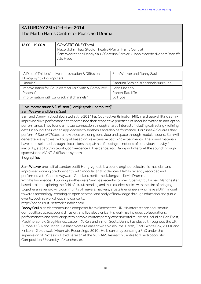## SATURDAY 25th October 2014 The Martin Harris Centre for Music and Drama

| 18.00 - 19.00 h | CONCERT ONE (Thaw)                                                             |
|-----------------|--------------------------------------------------------------------------------|
|                 | Place: John Thaw Studio Theatre (Martin Harris Centre)                         |
|                 | Sam Weaver and Danny Saul / Caterina Barbieri / John Macedo / Robert Ratcliffe |
|                 | / Jo Hyde                                                                      |
|                 |                                                                                |

| " A Diet of Thistles" - Live Improvisation & Diffusion<br>(Hordijk synth + computer) | Sam Weaver and Danny Saul              |
|--------------------------------------------------------------------------------------|----------------------------------------|
| "Undular"                                                                            | Caterina Barbieri. 8 channels surround |
| "Improvisation for Coupled Modular Synth & Computer"                                 | John Macedo                            |
| "Phoenix"                                                                            | Robert Ratcliffe                       |
| "Improvisation with Eurorack in 8 channels"                                          | Jo Hyde                                |

#### "Live Improvisation & Diffusion (Hordijk synth + computer)" Sam Weaver and Danny Saul

Sam and Danny first collaborated at the 2014 Fat Out Festival (Islington Mill), in a shape-shifting semiimprovised live performance that combined their respective practices of modular synthesis and laptop performance. They found a mutual connection through shared interests including extracting / refining detail in sound, their varied approaches to synthesis and also performance. For Sines & Squares they perform *A Diet of Thistles*, a new piece exploring behaviour and space through modular sound. Sam will generate live synthesized output based on his extensive patching experiments. The sound materials have been selected through discussions the pair had focusing on notions of behaviour; activity / inactivity, stability / instability, convergence / divergence, etc. Danny will interpret the sound through space via the MANTIS diffusion system.

#### **Biographies**

Sam Weaver one half of London outfit Hungryghost, is a sound engineer, electronic musician and improviser working predominantly with modular analog devices. He has recently recorded and performed with Charles Hayward, Gnod and performed alongside Kevin Drumm.

With his knowledge of building synthesizers Sam has recently formed Open-Circuit a new Manchester based project exploring the field of circuit bending and musical electronics with the aim of bringing together an ever growing community of makers, hackers, artists & engineers who have a DIY mindset towards technology, creating an open network and body of knowledge through education and public events, such as workshops and concerts.

http://opencircuit-network.tumblr.com/

Danny Saul is an electroacoustic composer from Manchester, UK. His interests are acousmatic composition, space, sound diffusion, and live electronics. His work has included collaborations, performances and recordings with notable contemporary experimental musicians including Ben Frost, Machinefabriek, Greg Haines, Jasper TX, Xela and Simon Scott. Danny has played throughout the UK, Europe, U.S.A and Japan. He has to date released two solo albums, Harsh, Final. (White Box, 2009), and Kinison – Goldthwait (Hibernate Recordings, 2010). He is currently pursuing a PhD under the supervision of Professor David Berezan at the NOVARS Research Centre for Electroacoustic Composition, University of Manchester.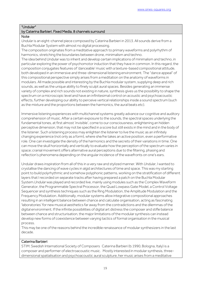#### "Undular"

#### by Caterina Barbieri. Fixed Media. 8 channels surround

#### **Note**

*Undular* is an eight-channel piece composed by Caterina Barbieri in 2013. All sounds derive from a Buchla Modular System with almost no digital processing.

The composition originates from a meditative approach to primary waveforms and polyrhythm of harmonics, stretching the boundaries between drone, minimalism and techno.

The idea behind Undular was to inherit and develop certain implications of minimalism and techno, in particular exploring the power of psychomotor induction that they have in common. In this regard, the composition conjugates features of 'danceable' music with a texture-based compositional attitude, both developed in an immersive and three-dimensional listening environment. The "dance appeal" of this compositional perspective simply arises from a meditation on the anatomy of waveforms in modulars. All made possible and interesting by the Buchla modular system, supplying deep and rich sounds, as well as the unique ability to finely sculpt aural spaces. Besides generating an immense variety of complex and rich sounds not existing in nature, synthesis gives us the possibility to shape the spectrum on a microscopic level and have an infinitesimal control on acoustic and psychoacoustic effects, further developing our ability to perceive vertical relationships inside a sound spectrum (such as the mixture and the proportions between the harmonics, the aural beats etc).

Immersive listening experiences with multichannel systems greatly advance our cognitive and auditory comprehension of music. After a certain exposure to the sounds, the spectral spaces underlying the fundamental tones, at first almost 'invisible', come to our consciousness, enlightening an hidden perceptive dimension, that may not be specified in a score but still exists in the mind and in the body of the listener. Such a listening process may enlighten the listener to live the music as an infinitely changing experience (not only as a form), where she/he takes an active position, even a performative role. One can investigate the density of the harmonics and the secrets of their variations in time. One can move the skull horizontally and vertically to evaluate how the perception of the spectrum varies in space; cranial movement offers alternative aural perceptions due to the filtering, phasing and reflection's phenomena depending on the angular incidence of the wavefronts on one's ears.

Undular draws inspiration from all of this in a very raw and stylized manner. With *Undular*, I wanted to crystallise the dancing of wave cycles in algid architectures of time and space. This was my starting point to build polyrhythmic and somehow polyphonic patterns, working on the stratification of different layers that I recorded on separate tracks after having prepared a patch on the Buchla Modular System.*Undular* was played and recorded live, mainly using modules such as the Complex Waveform Generator, the Programmable Spectral Processor, the Quad Lowpass Gate Model, a Control Voltage Sequencer and synthesis techniques such as the Ring Modulation, the Amplitude Modulation and the Frequency Modulation. Additionally, modular systems allow integrative compositional approaches resulting in an intelligent balance between chance and calculate organisation, acting as fascinating 'laboratories' for new musical aesthetics far away from the contradictions and the dilemmas of the digital environment. If the infinite possibilities of digital art distress the composer and stifle balance between chance and structurisation, the major limitations of the modular synthesis can instead develop new forms of coexistence between varying tactics of formal organisation in the musical process.

This may be one of the reasons behind the incredible renaissance of modular synthesizers in the last decade.

#### Caterina Barbieri

STIM: Swedish International Society of Composers Caterina Barbieri (b.1990, Bologna, Italy) is a composer and performer of electroacoustic music. Mostly interested in modular synthesis, threedimensional spatialisation and psychoacoustic aural sculpture, her music arises from a meditative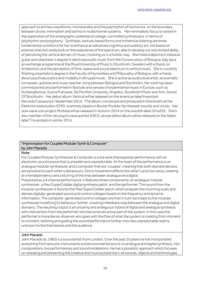approach to primary waveforms, microtonality and the polyrhythm of harmonics, on the boundary between drone, minimalism and techno in multichannel systems. Her minimalistic focus is rooted in the exploration of the stratigraphic potential of voltage-controlled synthesizers, in terms of polyrhythm and polyphony. Synthesis, texture-based forms and immersive listening are three fundamental conditions for her to enhance an advanced cognitive and auditory art, not based on extrinsic links but solely built on the experience of the spectrum, able to develop our very limited ability of perceiving the vertical domain of music, involving us in a holistic way. She holds a diploma in classical guitar and a bachelor's degree in electroacoustic music from the Conservatory of Bologna, Italy (plus an exchange programme at the Royal University of Music in Stockholm, Sweden) with a thesis on Ambisonics and the perception of time, space and sound spectrum in vertical music. She is currently finishing a bachelor's degree in the Faculty of Humanities and Philosophy of Bologna, with a thesis about psychoacoustics and modality in dhrupad music. She is active as audiovisual artist, acousmatic composer, guitarist and music teacher, living between Bologna and Stockholm. Her work has been commissioned and performed in festivals and venues of experimental music in Europe, such us Norbergfestival, Suona Francese, De Monfort University, Angelica, Stockholm Music and Arts, Sound Of Stockholm. Her debut album Vertical will be released on the american label Important Records/Cassauna in September 2014. The album, composed and produced in Stockholm at the Elektronmusikstudion (EMS), is entirely based on Buchla Modular Synthesizer sounds and vocals. Her slow wave solo project Morbida will be released in Autumn 2014 on the swedish label Oma333. She's also member of the neo psych wave quintet S.W.G, whose debut album will be released on the Italian label Trovarobato in winter 2014.

#### "Improvisation for Coupled Modular Synth & Computer" by John Macedo

#### **Note**

For Coupled Modular Synthesizer & Computer is a live work that explores performance with an electronic sound source that is unstable and unpredictable. At the heart of the performance is an analogue modular synthesizer and a computer that are 'coupled', meaning that both discrete devices are sensitive to each other's behaviours. One's movement effects the other's and vice versa, creating an interdependency and a blurring of the lines between analogue and digital.

Presented as a 4 channel performance, it features three components: an analogue modular synthesizer, a Max/SuperCollider digital synthesis patch, and the performer. The sound from the modular synthesizer is fed into the Max/SuperCollider patch, which analyses the incoming audio and derives digitally-generated sound and control voltages based on the frequency and dynamic information. The computer-generated control voltages are then in turn sent back to the modular synthesizer modifying its behaviour further, creating a feedback loop between the analogue and digital domains. The resulting output is an uncanny and ambiguous hybrid of digital and analogue synthesis with intervention from the performer who becomes an active part of the system. In this case the performer is more like an observer who goes with the flow of what the system is creating from moment to moment, listening and guiding the sound/performance further into new unpredictable realms, unknown to the themselves and the audience.

#### John Macedo

John Macedo (b. 1983) is a sound artist from London. Over the past 10 years he has incorporated everything from acoustic instruments and environmental sound, to analogue and digital synthesis, into compositions, live performances and sound installations. He has a pluralistic approach which focuses on revealing and presenting the creative and musical potential in all sounds, objects and technologies.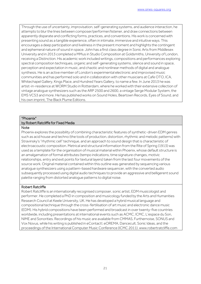Through the use of uncertainty, improvisation, self-generating systems, and audience interaction, he attempts to blur the lines between composer/performer/listener, and draw connections between apparently disparate and conflicting forms, practices, and conventions. His work is concerned with presenting sound as a tangible experience, often in intimate, immersive and intuitive ways. This encourages a deep participation and liveliness in the present moment and highlights the contingent and ephemeral nature of sound in space. John has a first class degree in Sonic Arts from Middlesex University and in 2013 completed a MMus in Studio Composition at Goldsmiths, University of London, receiving a Distinction. His academic work included writings, compositions and performances exploring spectral composition techniques, organic and self-generating systems, silence and sound in space, perception and expectation in music, and chaotic and nonlinear methods of digital and analogue synthesis. He is an active member of London's experimental electronic and improvised music communities and has performed solo and in collaboration with other musicians at Cafe OTO, ICA, Whitechapel Gallery, Kings Place, and Hundred Years Gallery, to name a few. In June 2013 he was artist-in-residence at WORM Studio in Rotterdam, where he worked with their extensive collection of vintage analogue synthesizers such as the ARP 2500 and 2600, a vintage Serge Modular System, the EMS VCS3 and more. He has published works on Sound Holes, Beartown Records, Eyes of Sound, and his own imprint, The Black Plume Editions.

#### "Phoenix"

#### by Robert Ratcliffe for Fixed Media

#### Note

Phoenix explores the possibility of combining characteristic features of synthetic-driven EDM genres such as acid house and techno (the tools of production, distortion, rhythmic and melodic patterns) with Stravinsky's "rhythmic cell" technique, and an approach to sound design that is characteristic of electroacoustic composition. Metrical and structural information from the Rite of Spring (1913) was used as a template for the organisation of musical material within Phoenix, whose default structure is an amalgamation of formal attributes (tempo indications, time signature changes, motivic relationships, entry and exit points for textural layers) taken from the last four movements of the source work. Original material contained within this outline was generated by sequencing various analogue synthesizers using a pattern-based hardware sequencer, with the converted audio subsequently processed using digital audio techniques to provide an aggressive and belligerent sound palette ranging from distorted analogue patterns to digital noise.

#### Robert Ratcliffe

Robert Ratcliffe is an internationally recognised composer, sonic artist, EDM musicologist and performer. He completed a PhD in composition and musicology funded by the Arts and Humanities Research Council at Keele University, UK. He has developed a hybrid musical language and compositional technique through the cross-fertilisation of art music and electronic dance music (EDM). His hybrid compositions have been performed and broadcast in over twenty-five countries worldwide, including presentations at international events such as ACMC, ICMC, L'espace du Son, NIME and Sonorities. Recordings of his music are available from CMMAS, Furthernoise, SONUS and Vox Novus, while his writing is published in eContact!, eOREMA, Dancecult, Sonic Ideas, and the proceedings of the International Computer Music Conference (ICMC 2011). www.robertratcliffe.com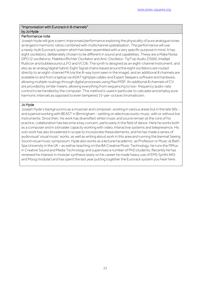#### "Improvisation with Eurorack in 8 channels" by Jo Hyde

#### Performance note

Joseph Hyde will give a semi-improvised performance exploring the physicality of pure analogue tones arranged in harmonic ratios combined with multichannel spatialisation. The performance will use a newly-built Eurorack system which has been assembled with a very specific purpose in mind. It has eight oscillators, deliberately chosen to be different in sound and capabilities. These are a Make Noise DPO (2 oscillators), Malekko/Richter Oscillator and Anti-Oscillator, TipTop Audio Z3000, Intellijel Rubicon and bubblesound uLFO and VCOb. The synth is designed as an eight-channel instrument, and also as an analog/digital hybrid. Eight Signal chains based around the eight oscillators are routed directly to an eight-channel PA (via the 8-way loom seen in the image), and an additional 8 channels are available to and from a laptop via ADAT lightpipe cables and Expert Sleepers software and hardware, allowing multiple routings through digital processes using Max/MSP. An additional 8 channels of CV are provided by similar means, allowing everything from sequencing to low- frequency audio-rate control to be handled by the computer. This method is used in particular to calculate and employ pure harmonic intervals as opposed to even tempered 1V-per-octave chromaticism.

#### Jo Hyde

Joseph Hyde's background is as a musician and composer, working in various areas but in the late 90s and a period working with BEAST in Birmingham - settling on electroacoustic music, with or without live instruments. Since then, his work has diversified: whilst music and sound remain at the core of his practice, collaboration has become a key concern, particularly in the field of dance. Here he works both as a composer and in a broader capacity working with video, interactive systems and telepresence. His solo work has also broadened in scope to incorporate these elements, and he has made a series of audiovisual 'visual music' works, as well as writing about work in this area and running the biennial Seeing Sound visual music symposium. Hyde also works as a lecturer/academic, as Professor or Music at Bath Spa University in the UK – as well as teaching on the BA Creative Music Technology, he runs the MMus in Creative Sound and Media Technology and supervises a number of PhD students. Recently he has renewed his interest in modular synthesis (early on his career he made heavy use of EMS Synthi AKS and Moog modular) and has spent the last year putting together the Eurorack system you hear here.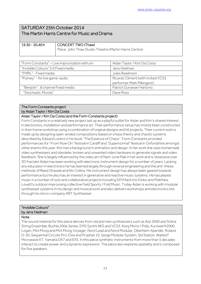## SATURDAY 25th October 2014 The Martin Harris Centre for Music and Drama

| 19.30 - 20.40 h | CONCERT TWO (Thaw)                                     |
|-----------------|--------------------------------------------------------|
|                 | Place: John Thaw Studio Theatre (Martin Harris Centre) |

| "Form Constants" - Live improvisation with a/v | Aidan Taylor / Kim Da Costa        |
|------------------------------------------------|------------------------------------|
| "Invisible Colours" 5.0 Fixed media            | Jens Hedman                        |
| "FMRL" - Fixed media                           | Jules Rawlinson                    |
| "Putney" - for live game-audio                 | Ricardo Climent (with invited VCS3 |
|                                                | performer Mark Pilkington)         |
| "Benjolin". 8 channel Fixed media              | Patrick Gunawan Hartono.           |
| "Stochastic Moods"                             | Dave Ross                          |

#### The Form Constants project by Aidan Taylor / Kim Da Costa

#### Aidan Taylor / Kim Da Costa (and the Form Constants project)

Form Constants in a relatively new project set up as a playful outlet for Aidan and Kim's shared interest in electronics, installation and performance art. Their performance setup has mostly been constructed in their home workshop using a combination of original designs and kit projects. Their current work is made up by designing open-ended compositions based on chaos theory and chaotic systems described by Edward Lorenz in his book "The Essence of Chaos". Form Constants provided performances for "From Now On" festival in Cardiff and "Supernormal" festival in Oxfordshire amongst other events this year. Kim has a background in animation and design. In her work she uses homemade video synthesisers and obsolete, broken and unwanted video hardware to generate signals and video feedback. She is largely influenced by the video art of Nam June Paik in her work and is obsessive over 3D fractals! Aidan has been working with electronic instrument design for a number of years. Lacking any education in electronics he has learned largely through reverse engineering and the anti-thesis methods of Reed Ghazala and Nic Collins. His instrument design has always been geared towards performance but he also has an interest in generative and reactive music systems. He has played music in a number of solo and collaborative projects including DIY/Hack trio Ginko and Matthew Lovett's outdoor improvising collective Field Sports / Fold Music. Today Aidan is working with modular synthesiser systems in his design and musical work and also delivers workshops and electronics kits through his micro-company ART Synthesiser.

#### "Invisible Colours" by Jens Hedman

#### Note

The sound material for this piece derives from old and new synthesizers such as Arp 2600 and Solina String Ensemble, Buchla 200e Series, EMS Synthi AKS and VCS3, Korg Mono / Polly, Kurzweil K2000, Logan, Mini Moog and Mini Moog Voyager, Nord Lead and Nord Modular, Oberheim Xpander, Roland D-50, Sequential Circuits Pro-One and Prophet 10, Serge Modular System, Sid Station, Waldorf Microwave XT, Yamaha DX7 and EX5. In this piece synthetic instruments from more than 5 decades interact to create power and a dynamic expression. The piece also explores spatiality and is composed for five speakers.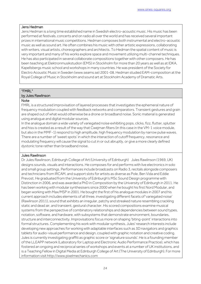#### Jens Hedman

Jens Hedman is a long time established name in Swedish electro-acoustic music. His music has been performed at festivals, concerts and on radio all over the world and has received several important prizes in international music competitions. Hedman composes both instrumental and electro-acoustic music as well as sound art. He often combines his music with other artistic expressions, collaborating with writers, visual artists, choreographers and architects. To Hedman the spatial content of music is very important and many of his works explore space and movement utilizing multi-channel techniques. He has also participated in several collaborate compositions together with other composers. He has been teaching at Elektronmusikstudion (EMS) in Stockholm for more than 20 years as well as at IDKA, Kapellsbergs music school and workshops in many countries. He was president of the Society for Electro Acoustic Music in Sweden (www.seams.se) 2001-08. Hedman studied EAM-composition at the Royal College of Music in Stockholm and sound art at Stockholm Academy of Dramatic Arts.

#### "FMRL"

#### by Jules Rawlinson

#### **Note**

FMRL is a structured improvisation of layered processes that investigates the ephemeral nature of frequency modulation coupled with feedback networks and comparators. Transient gestures and grain are shaped out of what would otherwise be a drone or broadband noise. Sonic material is generated using analogue and digital modular sources.

In the analogue domain a wide variety of variegated noise exhibiting pops, clicks, fizz, flutter, splutter and hiss is created as a result of the way that Cwejman filters (in this case in the VM-1 voice module, but also in the MMF-1) respond to high amplitude, high frequency modulation by narrow pulse waves. There are a number of 'sweet spots' in which the interaction of cutoff frequency, resonance and modulating frequency will cause the signal to cut in or out abruptly, or give a more clearly defined dystonic tone rather than broadband noise.

#### Jules Rawlinson

Dr Jules Rawlinson, Edinburgh College of Art (University of Edinburgh) Jules Rawlinson (1969, UK) designs sounds, visuals and interactions. He composes for and performs with live electronics in solo and small group settings. Performances include broadcasts on Radio 3, recitals alongside composers and technicians from IRCAM, and support slots for artists as diverse as Pole, Ben Vida and Eddie Prevost. He graduated from the University of Edinburgh's MSc Sound Design programme with Distinction in 2006, and was awarded a PhD in Composition by the University of Edinburgh in 2011. He has been working with modular synthesisers since 2000 when he bought his first Nord Modular, and began working with Max/MSP in 2001. He bought the first of his analogue modules in 2007 and his current approach includes elements of all three, investigating different facets of 'variegated noise' (Rawlinson 2011), sound that exhibits an irregular, patchy and streaked nature resembling crackling static and dead air, and transient, gestural character. His scored compositions examine musical systems from the perspective of combinatory relationships and dependencies between sound types, notation, software, and hardware, with subsystems that demonstrate environment, boundaries, structure and interconnectivity. Improvisations focus more on shaping 'biting-point' interactions into formal structures. Complementing his work with modular synthesis, Jules' research interests include developing new approaches for working with adaptable interfaces such as 3D navigators and graphics tablets for audio-visual performance and design, coupled with graphic notation and creative coding. Jules is currently investigating graffiti as graphic score or 'signature sounds'. He is a founding member of the LLEAPP network (Laboratory for Laptop and Electronic Audio Performance Practice), which has fostered an ongoing and reciprocal series of workshops and events at a number of UK institutions, and is a Teaching Fellow in Digital Media at Edinburgh College of Art (The University of Edinburgh). For more information visit http://www.pixelmechanics.com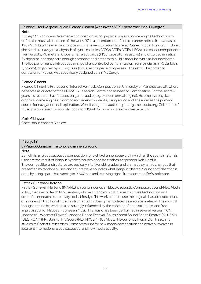#### "Putney" - for live game-audio Ricardo Climent (with invited VCS3 performer Mark Pilkington) **Note**

Putney "K" is an interactive media composition using graphics-physics-game engine technology to unfold the musical structure of the work. "K" is a potentiometer / sonic scanner retired from a classic 1969 VCS3 synthesizer, who is looking for answers to return home at Putney Bridge, London. To do so, she needs to navigate a labyrinth of synth modules (VCOs, VCFs, VCFs, LFOs) and collect components (vernier pots, VU meters, knobs, pins), electronics (PICS, capacitor, resistors) and circuit schematics. By doing so, she may earn enough compositional esteem to build a modular synth as her new home. The live performance introduces a range of uncontrolled sonic fantasies (aural paidia, as in R. Caillois's typology), organized by solving rules (ludus) as the piece progresses. The retro-like gamepad controller for Putney was specifically designed by Iain McCurdy.

#### Ricardo Climent

Ricardo Climent is Professor of Interactive Music Composition at University of Manchester, UK, where he serves as director of the NOVARS Research Centre and as head of Composition. For the last few years his research has focused on game-audio (e.g. blender, unreal engine). He employs physicsgraphics-game engines in compositional environments, using sound and 'the aural' as the primary source for navigation and exploration. Web-links: game-audio projects: game-audio.org; Collection of musical works: electro-acoustic.com; for NOVARS: www.novars.manchester.ac.uk

#### Mark Pilkington

Check bio in concert 3 below

#### "Benjolin"

#### by Patrick Gunawan Hartono. 8 channel surround

#### **Note**

Benjolin is an electroacoustic composition for eight-channel speakers in which all the sound materials used are the result of Benjolin Synthesizer designed by synthesizer pioneer Rob Hordijk. The compositional structures are basically intuitive with gradual and dramatic dynamic changes that presented by random pulses and square wave sound as what Benjolin offered. Sound spatialasation is done by using spat~ that running in MAX/msp and receiving signal from common DAW software.

#### Patrick Gunawan Hartono

Patrick Gunawan Hartono (INA/NL) is Young Indonesian Electroacoustic Composer, Sound/New Media Artist, member of Awahita Nusantara, whose art and musical interest is to use technology, and scientific approach as creativity tools. Mostly of his works tend to use the original characteristic sound of Indonesian traditional music instruments that being manipulated as a source material. The musical thought behind his works is also strongly influenced by the concept of open structure, and free improvisation of Natives Indonesian Music. His music has been performed in several venues; YCMF (Indonesia), Wocmat (Taiwan), Andong Dance Festival (South Korea) Sound Bridge Festival (KL), ZKM (DE), IRCAM (FR), Behind The Score (NL), NYCEMF (USA), etc. He currently lives in Den Haag, and studies at Codarts Rotterdam Conservatorium for new media composition and actively involved in local and international electroacoustic, and new media activity.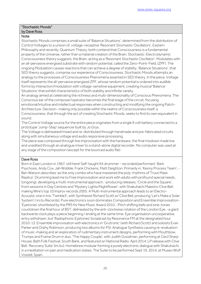#### "Stochastic Moods" by Dave Ross

#### **Note**

Stochastic Moods comprises a small suite of 'Balance Situations', determined from the distribution of Control Voltages to a unison of, voltage-receptive 'Resonant Stochastic Oscillators'. Eastern Philosophy and recently, Quantum Theory, both contend that Consciousness is a fundamental property of the Universe, rather than a material creation of the Brain. Stochastic-Electrodynamic Consciousness theory suggests, the Brain, acting as a 'Resonant Stochastic Oscillator', Modulates with an all-pervasive energised substrate with random potential, called the Zero-Point-Field, (ZPF). The ongoing Modulation causes reactions that can achieve a degree of stability, 'Balance Situations', that SED theory suggests, comprise our experience of Consciousness. Stochastic Moods attempts an analogy to the processes of Consciousness Phenomena asserted in SED theory. In the piece, Voltage itself represents the all-pervasive energised ZPF, whose random potential is ordered into audible forms by interaction/modulation with voltage-sensitive equipment, creating musical 'Balance Situations' that exhibit characteristics of both stability and infinite variety.

An analogy aimed at celebrating the richness and multi-dimensionality of Conscious Phenomena. The Conscious ear of the composer/operator becomes the final stage of the circuit, focusing emotional/intuitive and intellectual responses when constructing and modifying the ongoing Patch-Architecture. Decision- making only possible within the realms of Consciousness itself, a Consciousness, that through the act of creating Stochastic Moods, seeks to find its own equivalent in sound.

The Control Voltage source for the entire piece originates from a single 9 volt battery connected to a prototype 'Jump-Step' sequencer built by Jo Grys.

The Voltage is delineated/mixed and re-distributed through handmade and pre-fabricated circuits along with simultaneous voltage and audio responsive processing.

The piece was composed through live improvisation with the hardware, the final mixdown made live and unedited through an analogue mixer to a stand-alone digital recorder. No computer was used at any stage of the composition (except for the bounced audio file)

#### Dave Ross

Born in East London in 1967, still here! Self-taught Kit drummer - recorded/performed- Bark Psychosis, Andy Cox, Jah Wobble, Frank Chickens, Matt Deighton. Primarily in, 'Kenny Process Team', - Ben Watson describes 'as the only combo who have mastered the poly-rhythms of Trout Mask Replica'. Drumming lead me to Free Improvisation and work with adults with profound special needs, (ongoing), developing a multi-instrumental approach, -producing releases, 'Circle and the Square', from sessions in Day Centres and 'Mystery Lights/Nightflower', with Shakuhachi Maestro Clive Bell, making Wire's top 10 Improv records 2005. A Multi-Instrumental approach leads to an Electro-Acoustic one in trio 'Twinkle3', with Synthesist Richard Scott w/ Clive Bell, producing 'Let's Make a Solar System' ( ini.itu Records). Pure electronics soon dominates Composition and Ensemble Improvisation- 'Eyetones' shortlisted by the PRS for New Music Award 2010, -Pitch shifting bells and sine-tones countdown the final hour of BST, delineated by the anti-clockwise rotation of the London Eye, -a giant backwards clock plays a piece beginning / ending at the same time. Eye organisation uncooperative, entry withdrawn, but 'Radiophonic Eyetones' broadcast by Resonance FM at the designated hour 2010-13. Ensemble improvisation with electronics in 'Grutronic' (with Richard Scott) and soloists Evan Parker and Orphy Robinson, producing two albums for PSI. Analogue Synthesis causing re-evaluation of music-making and an exploration of rudimentary instrument designs, performing with Mouthbow, Trumps and Frame Drum in duo, 'The Happy Couple', with Judith Goodman, performing at Cecil Sharp House, Bath Folk Festival, South Bank, and featured on National Radio. April 2014, LP release with Clive Bell, 'Recovery Suite' (ini.itu). Homebrew modular forming a purely electronic dialogue with Shakuhachi, in a meditation on pain and medication states. The Suite to be performed Sept 19, 2014, at Museo Wolf Vostell, Spain.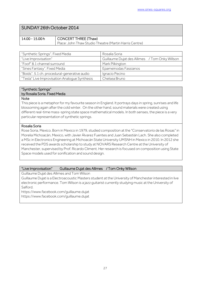## SUNDAY 26th October 2014

| 14.00 - 15.00 h | CONCERT THREE (Thaw)                                   |
|-----------------|--------------------------------------------------------|
|                 | Place: John Thaw Studio Theatre (Martin Harris Centre) |

| "Synthetic Springs". Fixed Media              | Rosalia Soria                                  |
|-----------------------------------------------|------------------------------------------------|
| "Live Improvisation"                          | Guillaume Dujat des Allimes / Tom Onky Willson |
| "Foof" 8.1 channel surround                   | Mark Pilkington                                |
| "Sines Fantasy". Fixed Media                  | Epameinodas Fassianos                          |
| "Boids". 5.1 ch. procedural-generative audio  | Ignacio Pecino                                 |
| "Tesla" Live Improvisation Analogue Synthesis | Chelsea Bruno                                  |

#### "Synthetic Springs" by Rosalia Soria. Fixed Media

#### Note

This piece is a metaphor for my favourite season in England. It portrays days in spring, sunrises and life blossoming again after the cold winter. On the other hand, sound materials were created using different real-time mass-spring state space mathematical models. In both senses, the piece is a very particular representation of synthetic springs.

#### Rosalia Soria

Rose Soria, Mexico. Born in Mexico in 1979, studied composition at the "Conservatorio de las Rosas" in Morelia Michoacán, Mexico, with Javier Álvarez Fuentes and Juan Sebastián Lach. She also completed a MSc in Electronics Engineering at Michoacán State University UMSNH in Mexico in 2010. In 2012 she received the PDS awards scholarship to study at NOVARS Research Centre at the University of Manchester, supervised by Prof. Ricardo Climent. Her research is focused on composition using State Space models used for sonification and sound design.

#### "Live Improvisation" Guillaume Dujat des Allimes / Tom Onky Willson

Guillaume Dujat des Allimes and Tom Wilson

Guillaume Dujat is a Electroacoustic Masters student at the University of Manchester interested in live electronic performance. Tom Wilson is a jazz guitarist currently studying music at the University of Salford.

https://www.facebook.com/guillaume.dujat https://www.facebook.com/guillaume.dujat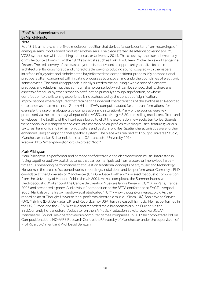#### "Foof" 8.1 channel surround by Mark Pilkington

#### **Note**

Foof 8.1 is a multi-channel fixed media composition that derives its sonic content from recordings of analogue semi-modular and modular synthesisers. The piece started life after discovering an EMS VCS3 synthesiser whilst teaching at Lancaster University 2014. This classic synthesiser adorns many of my favourite albums from the 1970's by artists such as Pink Floyd, Jean-Michel Jarre and Tangerine Dream. The rediscovery of this classic synthesiser activated an opportunity to utilize its sonic architecture. Its idiosyncratic and unpredictable way of producing sound, coupled with the visceral interface of a joystick and pinhole patch bay informed the compositional process. My compositional practice is often concerned with initiating processes to uncover and undo the boundaries of electronic sonic devices. The modular approach is ideally suited to the coupling a whole host of elements, practices and relationships that at first make no sense, but which can be sensed; that is, there are aspects of modular synthesis that do not function primarily through signification, or whose contribution to the listening experience is not exhausted by the concept of signification. Improvisations where captured that retained the inherent characteristics of the synthesiser. Recorded onto tape cassette machine, a Zoom H4 and DAW computer added further transformations (for example, the use of analogue tape compression and saturation). Many of the sounds were reprocessed via the external signal input of the VCS3, and a Korg MS 20, controlling oscillators, filters and envelopes. The tactility of the interface allowed to elicit the exploration new audio territories. Sounds were continuously shaped to coalesce into morphological profiles revealing musical features; various textures, harmonic and in-harmonic clusters and gestural profiles. Spatial characteristics were further enhanced using an eight channel speaker system. The piece was realised at Thought Universe Studio, Manchester and an 8 channel studio at LICA, Lancaster University 2014. Weblink: http://markpilkington.org.uk/project/foof/

#### Mark Pilkington

Mark Pilkington is a performer and composer of electronic and electroacoustic music. Interested in fusing together audio/visual structures that can be manipulated from a score or improvised in realtime thus presenting performances that question traditional concepts of art, music and technology. He works in the areas of screened works, recordings, installation and live performance. Currently a PhD candidate at the University of Manchester (UK). Graduated with an MA in electroacoustic composition from the University of Huddersfield in the UK 2004. He has completed the Summer Intensive Electroacoustic Workshop at the Centre de Création Musicale Iannis Xenakis (CCMIX) in Paris, France 2005 and presented a paper 'Audio/Visual' composition at the BETA conference at FACT Liverpool 2005. Mark also runs his own audio/visual label called 'TUM' - www.thought-universe.co.uk. As the recording artist Thought Universe Mark performs electronic music - Skam (UK), Sonic World Service (UK), Mainline (DK), DalRiada (UK) and Recordcamp (USA) have released his music. He has performed in the UK, Europe and the USA. With live and recorded radio broadcasts around Europe via the EBU.Currently he is a lecturer /educator on the BA Music Production at Futureworks/UCLAN, Manchester. Sound Designer for various computer games companies. In 2013 he completed a PhD in Composition at the NOVARS Research Centre, the University of Manchester under the supervision of Prof Ricardo Climent and Prof David Berezan.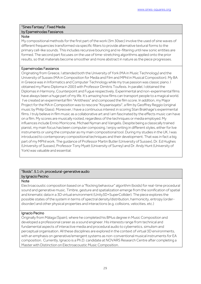#### "Sines Fantasy". Fixed Media by Epameinodas Fassianos

#### **Note**

My compositional methods for the first part of the work (3m 30sec) involve the used of sine waves of different frequencies transformed via specific filters to provide alternative textural forms to the primary cell-like sounds. This includes recursive bouncing and re-filtering until new sonic entities are formed. The second part focuses on the use of time-stretching algorithms applied onto the prior results, so that materials become smoother and more abstract in nature as the piece progresses.

#### Epameinodas Fassianos

Originating from Greece, I attended both the University of York (MA in Music Technology) and the University of Sussex (MA in Composition for Media and Film and MPhil in Musical Composition). My BA in Greece was in Informatics and Computer Technology while my true passion was classic piano. I obtained my Piano Diploma in 2003 with Professor Dimitris Toufexis. In parallel, I obtained the Diplomas in Harmony, Counterpoint and Fugue respectively. Experimental and non-experimental films have always been a huge part of my life. It's amazing how films can transport people to a magical world. I've created an experimental film "Antithesis" and composed the film score. In addition, my Major Project for the MA in Composition was to rescore "Koyaanisqatsi", a film by Geoffrey Reggio (original music by Philip Glass). Moreover, I have a continuous interest in scoring Stan Brakhage's experimental films. I truly believe in film music as a collaborative art and I am fascinated by the effects music can have on a film. My scores are musically rooted, regardless of the techniques or media employed. My influences include Ennio Morricone, Michael Nyman and Vangelis. Despite being a classically trained pianist, my main focus has been computer composing. I enjoy writing in different styles, either for live instruments or using the computer as my main compositional tool. During my studies in the UK, I was introduced to contemporary compositional techniques and their development. That was in fact a big part of my MPhil work. The guidance of Professor Martin Butler (University of Sussex), Dr. Ed Hughes (University of Sussex), Professor Tony Myatt (University of Surrey) and Dr. Andy Hunt (University of York) was valuable and essential.

#### "Boids". 5.1 ch. procedural-generative audio by Ignacio Pecino

#### **Note**

Electroacoustic composition based on a "flocking behaviour" algorithm (boids) for real-time procedural sound and generative music. Timbre, gesture and spatialization emerge from the sonification of spatial and kinematic data in a 3D virtual environment (Unity3D+SuperCollider). The piece explores the possible states of the system in terms of spectral density/distribution, harmonicity, entropy (orderdisorder) and other physical properties and interactions (e.g. collisions, velocities, etc.)

#### Ignacio Pecino

Originally from Málaga (Spain), where he completed his BMus degree in Music Composition and developed a professional career as a sound engineer. His interests range from technical and fundamental aspects of interactive media and procedural audio to cybernetics, simulism and perceptual organisation. All these disciplines are explored in the context of virtual 3D environments, with an emphasis on generative/emergent systems as non-conventional musical instruments for EA composition. Currently, Ignacio is a Ph.D. candidate at NOVARS Research Centre after completing a Master with Distinction on Electroacoustic Music Composition.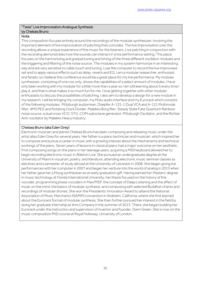#### "Tesla" Live Improvisation Analogue Synthesis by Chelsea Bruno

#### **Note**

This composition focuses entirely around the recordings of the modular synthesizer, involving the important element of live improvisation of patching that coincides. The live improvisation over the recording allows a unique experience of the music for the listeners. Live patching in conjunction with the recording demonstrates how the sounds can interact in a live performance setting. This piece focuses on the harmonizing and gradual tuning and timing of the three different oscillator modules and the triggering and filtering of the noise source. The modules in my system harmonize in an interesting way and are very sensitive to cable touch and tuning. I use the computer to record the live improvised set and to apply various effects such as delay, reverb and EQ. I am a modular researcher, enthusiast and fanatic so I believe this conference would be a great place for my live performance. My modular synthesizer, consisting of one row only, shows the capabilities of a select amount of modules. I have only been working with my modular for a little more than a year so I am still learning about it every time I play it, and that is what makes it so much fun for me. I love getting together with other modular enthusiasts to discuss the possibilities of patching. I also aim to develop a design for a new module in my research. I will be bringing my computer, my Motu audio interface and my Eurorack which consists of the following modules: Pittsburgh audiomixer, Doepfer A-131-1 Dual VCA and A-121 Multimode filter, 4MS PEG and Rotating Clock Divider, Malekko Borg fiter, Steady State Fate Quantum Rainbow noise source, a dual cross VCO, STG .COM suboctave generator, Pittsburgh Oscillator, and the Richter Anti-oscillator by Malekko Heavy Industry.

#### Chelsea Bruno (aka Eden Grey)

Electronic musician and pianist Chelsea Bruno has been composing and releasing music under the artist alias Eden Grey for several years. Her father is a piano technician and musician, which inspired her to compose and pursue a career in music with a growing interest about the mechanisms and technical workings of the piano. Seven years of lessons in classical piano had a major outcome on her aesthetic. First composing songs on the piano in her teenage years, acquiring a MIDI keyboard allowed her to begin recording electronic music in Ableton Live. She pursued an undergraduate degree at the University of Miami in visual art, poetry, and literature, attending electronic music seminar classes as electives and a semester of study abroad at the University of Leicester in 2008. She began giving live performances with her computer in 2007 and began her venture into the world of analog in 2013 when her father gave her a Moog synthesizer as an early graduation gift. Having earned her Masters' degree in music technology at Florida International University, her thesis focused on the history of the vocoder, programming phase vocoders in Max/MSP, the concept of Deep Listening and the affect of music on the mind, the basics of modular synthesis, and composing with selected Buddhist chants and recordings of modular drones. She won the Presidents' Innovation Award to attend the National Association of Music Merchants (NAMM) convention in Anaheim, California, where she first learned about the Eurorack format of modular synthesis. She then further pursued her interest in the field by doing her graduate internship at 4ms Company in the summer of 2013. There, she began building her Eurorack under the instruction and supervision of inventor and founder, Dann Green. She is now on the music composition PhD course at Royal Holloway, University of London.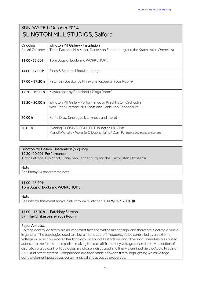## SUNDAY 26th October 2014 ISLINGTON MILL STUDIOS, Salford

| Ongoing         | <b>Islington Mill Gallery - Installation</b>                                    |
|-----------------|---------------------------------------------------------------------------------|
| 24-26 October   | Tintin Patrone, Nils Knott, Daniel van Eendenburg and the Krachkisten Orchestra |
|                 |                                                                                 |
| 11:00 - 15:00 h | Tom Bugs of Bugbrand WORKSHOP (II)                                              |
|                 |                                                                                 |
| 14:00 - 17:00 h | Sines & Squares Modular Lounge                                                  |
|                 |                                                                                 |
| 17.00 - 17.30 h | Patchbay Session by Finlay Shakespeare (Yoga Room)                              |
|                 |                                                                                 |
| 17:30 - 19:15 h | Masterclass by Rob Hordijk (Yoga Room)                                          |
|                 |                                                                                 |
| 19:30 - 20:00 h | Islington Mill Gallery Performance by Krachkisten Orchestra                     |
|                 | with Tintin Patrone, Nils Knott and Daniel van Eendenburg                       |
|                 |                                                                                 |
| 20.00 h         | Raffle Draw (analogue kits, music and more) -                                   |
|                 |                                                                                 |
| 20.05h          | Evening CLOSING CONCERT, Islington Mill Club                                    |
|                 | Manoli Moriaty / Melanie O'Dubhshlaine/Dan_P. (Buchla 200 modular system)       |
|                 |                                                                                 |

#### Islington Mill Gallery – Installation (ongoing) 19:30 -20:00 h Performance

Tintin Patrone, Nils Knott, Daniel van Eendenburg and the Krachkisten Orchestra

#### **Note**

See Friday 24 programme note

#### 11:00 -15:00 h

Tom Bugs of Bugbrand WORKSHOP (II)

**Note** 

See info for this event above: Saturday 24<sup>th</sup> October 2014 WORKSHOP (I)

#### 17.00 - 17.30 h Patchbay Session by Finlay Shakespeare (Yoga Room)

#### Paper Abstract

Voltage controlled filters are an important facet of synthesizer design, and therefore electronic music in general. The topologies used to allow a filter's cut-off frequency to be controlled by an external voltage will alter how a core filter topology will sound. Distortions and other non-linearities are usually added into the filter's audio path in making the cut-off frequency voltage controllable. A selection of discrete voltage control topologies are chosen, discussed and finally examined via the Audio Precision 2700 audio test system. Comparisons are then made between filters, highlighting which voltage control element possesses certain musical and acoustic properties.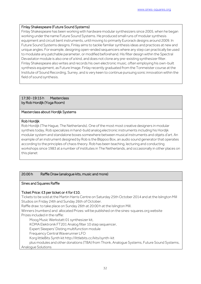#### Finlay Shakespeare (Future Sound Systems)

Finlay Shakespeare has been working with hardware modular synthesizers since 2005, when he began working under the name Future Sound Systems. He produced small runs of modular synthesis equipment and circuit bent instruments, until moving to primarily Eurorack designs around 2009. In Future Sound Systems designs, Finlay aims to tackle familiar synthesis ideas and practices at new and unique angles. For example, designing open-ended sequencers where any step can practically be used to modulate any patchable parameter, or modified beforehand. His filter design within the Spectral Devastator module is also one of a kind, and does not clone any pre-existing synthesizer filter. Finlay Shakespeare also writes and records his own electronic music, often employing his own-built synthesis equipment, as Future Image. Finlay recently graduated from the Tonmeister course at the Institute of Sound Recording, Surrey, and is very keen to continue pursuing sonic innovation within the field of sound synthesis.

#### 17:30 -19:15 h Masterclass by Rob Hordijk (Yoga Room)

#### Masterclass about Hordijk Systems

#### Rob Hordijk

Rob Hordijk (The Hague, The Netherlands). One of the most most creative designers in modular syntheis today, Rob specializes in hand-build analog electronic instruments including his Hordijk modular system and standalone boxes somewhere between musical instruments and objets d'art. An example of an instrument designed by Rob is the Blippoo Box, an audio sound generator that operates according to the principles of chaos theory. Rob has been teaching, lecturing and conducting workshops since 1983 at a number of institutes in The Netherlands, and occasionally in other places on this planet

#### 20.00 h Raffle Draw (analogue kits, music and more)

#### Sines and Squares Raffle

#### Ticket Price: £3 per ticket or 4 for £10.

Tickets to be sold at the Martin Harris Centre on Saturday 25th October 2014 and at the Islington Mill Studios on Friday 24th and Sunday 26th of October.

Raffle draw: to take place on Sunday 26th at 20:00 h at the Islington Mill.

Winners (numbers) and allocated Prizes: will be published on the sines-squares.org website Prizes included in the raffle:

Moog Music Werkstatt 01 synthesizer kit,

KOMA Elektronik FT201 Analog filter 10 step sequencer,

Expert Sleepers' Disting multifunction module

Frequency Central Waverunner LFO

Korg littleBits Synth kit http://littlebits.cc/kits/synth-kit

 plus modules and other donations (TBA) from Thonk, Analogue Systems, Future Sound Systems, Analogue Solutions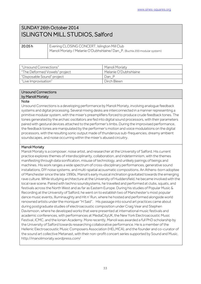## SUNDAY 26th October 2014 ISLINGTON MILL STUDIOS, Salford

20.05 h Evening CLOSING CONCERT, Islington Mill Club Manoli Moriaty / Melanie O'Dubhshlaine/ Dan P. (Buchla 200 modular system) 

| "Unsound Connections"         | Manoli Moriaty        |
|-------------------------------|-----------------------|
| "The Deformed Vowels" project | Melanie O'Dubhshlaine |
| "Disposable Sound" project    | Dan P                 |
| "Live Improvisation"          | Dirch Blewn           |

#### Unsound Connections by Manoli Moriaty

#### Note

Unsound Connections is a developing performance by Manoli Moriaty, involving analogue feedback systems and digital processing. Several mixing desks are interconnected in a manner representing a primitive modular system, with the mixer's preamplifiers forced to produce crude feedback tones. The tones generated by the archaic oscillators are fed into digital sound processors, with their parameters paired with gestural devices attached to the performer's limbs. During the improvised performance, the feedback tones are manipulated by the performer's motion and voice modulations on the digital processors, with the resulting sonic output made of thunderous sub-frequencies, dreamy ambient soundscapes, and noise occurring within the mixer's abused circuitry.

#### Manoli Moriaty

Manoli Moriaty is a composer, noise artist, and researcher at the University of Salford. His current practice explores themes of interdisciplinarity, collaboration, and indeterminism, with the themes manifesting through data sonification, misuse of technology, and unlikely pairings of beings and machines. His work ranges a wide spectrum of cross-disciplinary performances, generative sound installations, DIY noise systems, and multi-spatial acousmatic compositions. An Athens-born adoptee of Manchester since the late 1990s, Manoli's early musical inclination gravitated towards the emerging rave culture. While studying architecture at the University of Huddersfield, he became involved with the local rave scene. Paired with techno soundsystems, he travelled and performed at clubs, squats, and festivals across the North West and as far as Eastern Europe. During his studies of Popular Music & Recording at the University of Salford, he went on to establish two of Manchester's most popular dance music events, Illuminaughty and Hit n' Run, where he hosted and performed alongside world renowned artists under the moniquer "H Said". His passage into sound art practices came about during postgraduate studies of electroacoustic composition under Craig Vear and Stephen Davismoon, where he developed works that were presented at international music festivals and academic conferences, with performances at MediaCityUK, the New York Electroacoustic Music Festival, ICMC, and the Ionian Academy. More recently, Manoli was awarded a full PhD scholarship by the University of Salford towards researching collaborative performance. He is a member of the Hellenic Electroacoustic Music Composers Association (HELMCA), and the founder and co-curator of the sound art collective Metanast, with their non-profit concert series supported by Sound and Music. http://manolimoriaty.wordpress.com/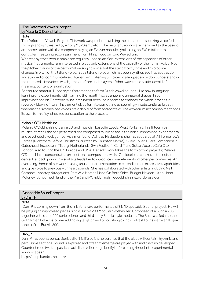#### "The Deformed Vowels" project by Melanie O'Dubhshlaine

#### **Note**

The Deformed Vowels Project. This work was produced utilising the composers speaking voice fed through and synthesized by a Korg MS20 emulator. The resultant sounds are then used as the basis of an improvisation with the composer playing an Evolver module synth using an EWI midi breath controller. Featuring accompaniment from Philip Todd on Korg Wavedrum.

Whereas synthesizers in music are regularly used as artificial extensions of the capacities of other musical instruments, I am interested in electronic extensions of the capacity of the human voice. Not the pitched clairity of the performative singing voice, but the staccato rhythms and microtonal changes in pitch of the talking voice. But a talking voice which has been synthesized into abstraction and stripped of communicative utilitarianism. Listening to voices in a language you don't understand or the mutated alien voices which jump out from under layers of shortwave radio static, devoid of meaning, content or signification.

For source material, I used myself attempting to form Dutch vowel sounds. I like how in languagelearning one experiments with forming the mouth into strange and unnatural shapes. I add improvisations on Electronic Wind Instrument because it seems to embody the whole process in reverse - blowing into an instrument gives form to something as seemingly insubstantial as breath, whereas the synthesized voices are a denial of form and context. The wavedrum accompaniment adds its own form of synthesized punctuation to the process.

#### Melanie O'Dubhshlaine

Melanie O'Dubhshlaine is an artist and musician based in Leeds, West Yorkshire. In a fifteen year musical career ) she has performed and composed music based in the noise, improvised, experimental and psychedelic rock genres. As a member of Ashtray Navigations she has appeared at All Tomorrow's Parties (Nightmare Before Christmas, curated by Thurston Moore), Music Lover's Field Companion in Gateshead, Incubate in Tilburg, Netherlands, Swn Festival in Cardiff and Sotto Voce at Cafe Oto, London, also touring the UK, Europe and USA. Her solo work takes the form of two projects; Melanie O'Dubhshlaine concentrates on electronic composition, whilst Ocelocelot is centred in the noise genre. Her background in visual arts leads her to introduce visual elements into her performances. An overriding theme of her work is using unusual instrumentation to extend human expressive capabilities and give voice to previously unheard sounds. She has collaborated with other artists including Neil Campbell, Ashtray Navigations, Part Wild Horses Mane On Both Sides, Bridget Hayden, Uton, John Moloney (Sunburned Hand of the Man) and MV & EE. melanieodubhshlaine.wordpress.com

#### "Disposable Sound" project by Dan\_P

#### Note

"Dan\_P is coming down from the hills for a rare performance of his "Disposable Sound" project. He will be playing an improvised piece using a Buchla 200 Modular Synthesizer. Comprised of a Buchla 208 together with other 200 series clones and third party Buchla style modules. The Buchla is fed into the Gotharman Little Deformer adding digital glitch and bit crushing giving contrast to the warm analogue tones of the Buchla 200.

#### Dan P

Dan P has been a percussionist all of his life so it is no surprise that the piece will contain rhythmic and percussive sections. Sound is explored and riffs that emerge are played with and playfully developed. Counter timed twisted pastiche acid lines will emerge briefly before being ripped into experimental soundscapes."

http://danp.bandcamp.com/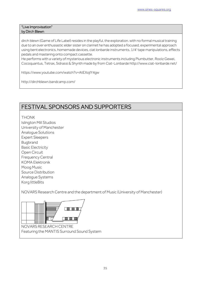#### "Live Improvisation" by Dirch Blewn

dirch blewn (Game of Life Label) resides in the playful, the exploration. with no formal musical training due to an over enthusiastic elder sister on clarinet he has adopted a focused, experimental approach using bent electronics, homemade devices, ciat lonbarde instruments, 1/4' tape manipulations, effects pedals and mastering onto compact cassette.

He performs with a variety of mysterious electronic instruments including Plumbutter, Roolz Gewei, Cocoquantus, Tetrax, Sidrassi & Shynth made by from Ciat-Lonbarde http://www.ciat-lonbarde.net/

https://www.youtube.com/watch?v=AtEXojIY4gw

<http://dirchblewn.bandcamp.com/>

## FESTIVAL SPONSORS AND SUPPORTERS

THONK

Islington Mill Studios

University of Manchester

Analogue Solutions

Expert Sleepers

Bugbrand

Basic Electricity

Open Circuit

Frequency Central

KOMA Elektronik

Moog Music

Source Distribution Analogue Systems

Korg littleBits

NOVARS Research Centre and the department of Music (University of Manchester)



NOVARS RESEARCH CENTRE Featuring the MANTIS Surround Sound System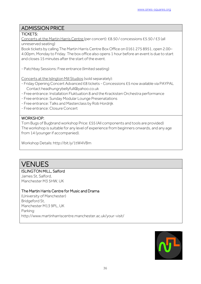## ADMISSION PRICE

#### TICKETS:

Concerts at the Martin Harris Centre (per concert): £8.50 / concessions £5.50 / £3 (all unreserved seating)

Book tickets by calling The Martin Harris Centre Box Office on 0161 275 8951, open 2.00– 4.00pm, Monday to Friday. The box office also opens 1 hour before an event is due to start and closes 15 minutes after the start of the event.

- Patchbay Sessions: Free entrance (limited seating)

Concerts at the Islington Mill Studios (sold separately):

- Friday Opening Concert Advanced £8 tickets Concessions £5 now available via PAYPAL Contact headhungrybellyfull@yahoo.co.uk
- Free entrance: Installation Fluktuation 8 and the Krackisten Orchestra performance
- Free entrance: Sunday Modular Lounge Presenatations
- Free entrance: Talks and Masterclass by Rob Hordrijk
- Free entrance: Closure Concert

#### WORKSHOP:

Tom Bugs of Bugbrand workshop Price: £55 (All components and tools are provided) The workshop is suitable for any level of experience from beginners onwards, and any age from 14 (younger if accompanied).

Workshop Details: http://bit.ly/1tW4VBm

## VENUES

#### ISLINGTON MILL, Salford

James St, Salford, Manchester M3 5HW, UK

#### The Martin Harris Centre for Music and Drama

(University of Manchester) Bridgeford St, Manchester M13 9PL, UK Parking: http://www.martinharriscentre.manchester.ac.uk/your-visit/

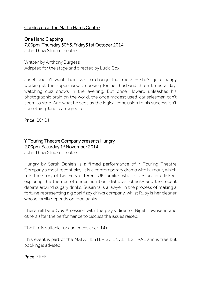## Coming up at the Martin Harris Centre

One Hand Clapping 7.00pm, Thursday 30<sup>th</sup> & Friday31st October 2014 John Thaw Studio Theatre

Written by Anthony Burgess Adapted for the stage and directed by Lucia Cox

Janet doesn't want their lives to change that much  $-$  she's quite happy working at the supermarket, cooking for her husband three times a day, watching quiz shows in the evening. But once Howard unleashes his photographic brain on the world, the once modest used-car salesman can't seem to stop. And what he sees as the logical conclusion to his success isn't something Janet can agree to.

Price: £6/ £4

## Y Touring Theatre Company presents Hungry 2.00pm, Saturday 1<sup>st</sup> November 2014

John Thaw Studio Theatre

Hungry by Sarah Daniels is a filmed performance of Y Touring Theatre Company's most recent play. It is a contemporary drama with humour, which tells the story of two very different UK families whose lives are interlinked, exploring the themes of under nutrition, diabetes, obesity and the recent debate around sugary drinks. Susanna is a lawyer in the process of making a fortune representing a global fizzy drinks company, whilst Ruby is her cleaner whose family depends on food banks.

There will be a Q & A session with the play's director Nigel Townsend and others after the performance to discuss the issues raised.

The film is suitable for audiences aged 14+

This event is part of the MANCHESTER SCIENCE FESTIVAL and is free but booking is advised.

Price: FREE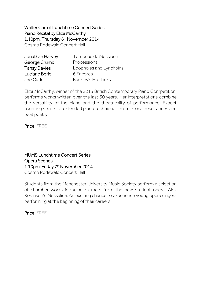Walter Carroll Lunchtime Concert Series Piano Recital by Eliza McCarthy 1.10pm, Thursday 6<sup>th</sup> November 2014 Cosmo Rodewald Concert Hall

| Jonathan Harvey     | Tombeau de Messiaen        |
|---------------------|----------------------------|
| George Crumb        | Processional               |
| <b>Tansy Davies</b> | Loopholes and Lynchpins    |
| Luciano Berio       | 6 Encores                  |
| <b>Joe Cutler</b>   | <b>Buckley's Hot Licks</b> |

Eliza McCarthy, winner of the 2013 British Contemporary Piano Competition, performs works written over the last 50 years. Her interpretations combine the versatility of the piano and the theatricality of performance. Expect haunting strains of extended piano techniques, micro-tonal resonances and beat poetry!

Price: FREE

MUMS Lunchtime Concert Series Opera Scenes 1.10pm, Friday 7<sup>th</sup> November 2014 Cosmo Rodewald Concert Hall

Students from the Manchester University Music Society perform a selection of chamber works including extracts from the new student opera, Alex Robinson's Messalina. An exciting chance to experience young opera singers performing at the beginning of their careers.

Price: FREE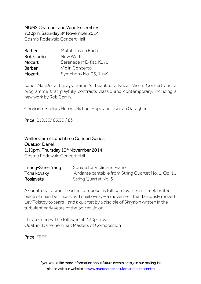## MUMS Chamber and Wind Ensembles 7.30pm, Saturday 8<sup>th</sup> November 2014

Cosmo Rodewald Concert Hall

| <b>Barber</b>     | Mutations on Bach        |
|-------------------|--------------------------|
| <b>Rob Corrin</b> | New Work                 |
| Mozart            | Serenade in E-flat, K375 |
| <b>Barber</b>     | Violin Concerto          |
| Mozart            | Symphony No. 36, 'Linz'  |

Katie MacDonald plays Barber's beautifully lyrical Violin Concerto in a programme that playfully contrasts classic and contemporary, including a new work by Rob Corrin.

Conductors: Mark Heron, Michael Hope and Duncan Gallagher

Price: £10.50/ £6.50 / £3

Walter Carroll Lunchtime Concert Series Quatuor Danel 1.10pm, Thursday 13<sup>th</sup> November 2014 Cosmo Rodewald Concert Hall

| Tsung-Shien Yang | Sonata for Violin and Piano                         |
|------------------|-----------------------------------------------------|
| Tchaikovsky      | Andante cantabile from String Quartet No. 1, Op. 11 |
| <b>Roslavets</b> | String Quartet No. 3                                |

A sonata by Taiwan's leading composer is followed by the most celebrated piece of chamber music by Tchaikovsky – a movement that famously moved Lev Tolstoy to tears - and a quartet by a disciple of Skryabin written in the turbulent early years of the Soviet Union.

This concert will be followed at 2.30pm by Quatuor Danel Seminar: Masters of Composition

Price: FREE